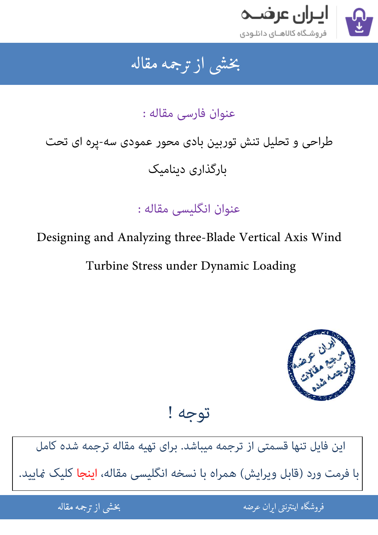

## جمه مقاله شی از تر بخشی از :

عنوان فارسی مقاله :

# طراحی و تحلیل تنش توربین بادی محور عمودی سه-پره ای تحت بارگذاری دینامیک

عنوان انگلیسی مقاله :

Designing and Analyzing three-Blade Vertical Axis Wind

Turbine Stress under Dynamic Loading



توجه !

[این فایل تنها قسمتی از ترجمه میباشد. برای تهیه مقاله ترجمه شده کامل](http://iranarze.ir/designing+blade+vertical+axis+wind+turbine+stress+dynamic)  با فرمت ورد (قابل ویرایش) همراه با نسخه انگلیسی مقاله، اینجا کلیک غایید.

> ֦֘ ه اينترنتي ايران عرضه مستخدم استخدام المستخدم المستخدم المستخدم المستخدم المستخدم المستخدم المستخدم المستخدم ا ֚֚֚֚֚֚֚֚֚֚֚֚֚֚֚֚֚֚֚֚֚֬֡֡֡֡֡֡֡֡֡֡֬֝֡֡֡֡֬֓֡֡֬

شی از ترجمه <mark>مقا</mark>له